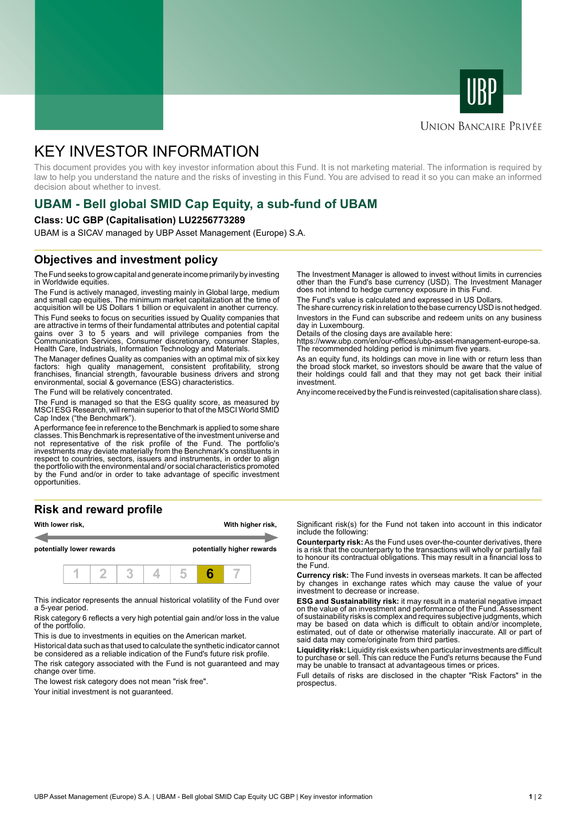



# **UNION BANCAIRE PRIVÉE**

# KEY INVESTOR INFORMATION

This document provides you with key investor information about this Fund. It is not marketing material. The information is required by law to help you understand the nature and the risks of investing in this Fund. You are advised to read it so you can make an informed decision about whether to invest.

# **UBAM - Bell global SMID Cap Equity, a sub-fund of UBAM**

### **Class: UC GBP (Capitalisation) LU2256773289**

UBAM is a SICAV managed by UBP Asset Management (Europe) S.A.

# **Objectives and investment policy**

The Fund seeks to grow capital and generate income primarily by investing in Worldwide equities.

The Fund is actively managed, investing mainly in Global large, medium and small cap equities. The minimum market capitalization at the time of acquisition will be US Dollars 1 billion or equivalent in another currency.

This Fund seeks to focus on securities issued by Quality companies that are attractive in terms of their fundamental attributes and potential capital gains over 3 to 5 years and will privilege companies from the Communication Services, Consumer discretionary, consumer Staples, Health Care, Industrials, Information Technology and Materials.

The Manager defines Quality as companies with an optimal mix of six key factors: high quality management, consistent profitability, strong franchises, financial strength, favourable business drivers and strong environmental, social & governance (ESG) characteristics.

The Fund will be relatively concentrated.

The Fund is managed so that the ESG quality score, as measured by MSCI ESG Research, will remain superior to that of the MSCI World SMID Cap Index ("the Benchmark").

A performance fee in reference to the Benchmark is applied to some share classes. This Benchmark is representative of the investment universe and not representative of the risk profile of the Fund. The portfolio's investments may deviate materially from the Benchmark's constituents in respect to countries, sectors, issuers and instruments, in order to align the portfolio with the environmental and/ or social characteristics promoted by the Fund and/or in order to take advantage of specific investment opportunities.

# **Risk and reward profile**



This indicator represents the annual historical volatility of the Fund over a 5-year period.

Risk category 6 reflects a very high potential gain and/or loss in the value of the portfolio.

This is due to investments in equities on the American market.

Historical data such as that used to calculate the synthetic indicator cannot be considered as a reliable indication of the Fund's future risk profile.

The risk category associated with the Fund is not guaranteed and may change over time.

The lowest risk category does not mean "risk free".

Your initial investment is not quaranteed.

The Investment Manager is allowed to invest without limits in currencies other than the Fund's base currency (USD). The Investment Manager does not intend to hedge currency exposure in this Fund.

The Fund's value is calculated and expressed in US Dollars.

The share currency risk in relation to the base currency USD is not hedged. Investors in the Fund can subscribe and redeem units on any business day in Luxembourg.

Details of the closing days are available here:

https://www.ubp.com/en/our-offices/ubp-asset-management-europe-sa. The recommended holding period is minimum five years.

As an equity fund, its holdings can move in line with or return less than the broad stock market, so investors should be aware that the value of their holdings could fall and that they may not get back their initial investment.

Any income received by the Fund is reinvested (capitalisation share class).

Significant risk(s) for the Fund not taken into account in this indicator include the following:

**Counterparty risk:** As the Fund uses over-the-counter derivatives, there is a risk that the counterparty to the transactions will wholly or partially fail to honour its contractual obligations. This may result in a financial loss to the Fund.

**Currency risk:** The Fund invests in overseas markets. It can be affected by changes in exchange rates which may cause the value of your investment to decrease or increase.

**ESG and Sustainability risk:** it may result in a material negative impact on the value of an investment and performance of the Fund. Assessment of sustainability risks is complex and requires subjective judgments, which may be based on data which is difficult to obtain and/or incomplete, estimated, out of date or otherwise materially inaccurate. All or part of said data may come/originate from third parties.

**Liquidity risk:** Liquidity risk exists when particular investments are difficult to purchase or sell. This can reduce the Fund's returns because the Fund may be unable to transact at advantageous times or prices.

Full details of risks are disclosed in the chapter "Risk Factors" in the prospectus.